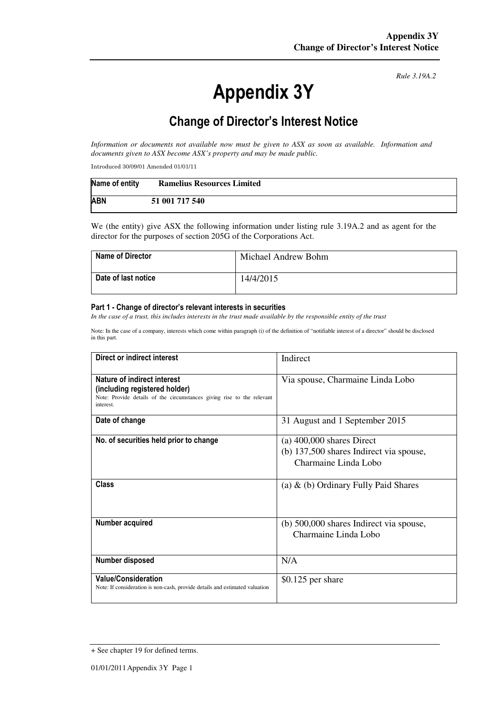# Appendix 3Y

*Rule 3.19A.2*

# Change of Director's Interest Notice

*Information or documents not available now must be given to ASX as soon as available. Information and documents given to ASX become ASX's property and may be made public.* 

Introduced 30/09/01 Amended 01/01/11

| Name of entity | <b>Ramelius Resources Limited</b> |
|----------------|-----------------------------------|
| <b>ABN</b>     | 51 001 717 540                    |

We (the entity) give ASX the following information under listing rule 3.19A.2 and as agent for the director for the purposes of section 205G of the Corporations Act.

| <b>Name of Director</b> | Michael Andrew Bohm |
|-------------------------|---------------------|
| Date of last notice     | 14/4/2015           |

#### Part 1 - Change of director's relevant interests in securities

*In the case of a trust, this includes interests in the trust made available by the responsible entity of the trust* 

Note: In the case of a company, interests which come within paragraph (i) of the definition of "notifiable interest of a director" should be disclosed in this part.

| Direct or indirect interest                                                                                                                         | Indirect                                                                                       |  |
|-----------------------------------------------------------------------------------------------------------------------------------------------------|------------------------------------------------------------------------------------------------|--|
| Nature of indirect interest<br>(including registered holder)<br>Note: Provide details of the circumstances giving rise to the relevant<br>interest. | Via spouse, Charmaine Linda Lobo                                                               |  |
| Date of change                                                                                                                                      | 31 August and 1 September 2015                                                                 |  |
| No. of securities held prior to change                                                                                                              | $(a)$ 400,000 shares Direct<br>(b) 137,500 shares Indirect via spouse,<br>Charmaine Linda Lobo |  |
| Class                                                                                                                                               | (a) $\&$ (b) Ordinary Fully Paid Shares                                                        |  |
| Number acquired                                                                                                                                     | (b) 500,000 shares Indirect via spouse,<br>Charmaine Linda Lobo                                |  |
| Number disposed                                                                                                                                     | N/A                                                                                            |  |
| <b>Value/Consideration</b><br>Note: If consideration is non-cash, provide details and estimated valuation                                           | $$0.125$ per share                                                                             |  |

<sup>+</sup> See chapter 19 for defined terms.